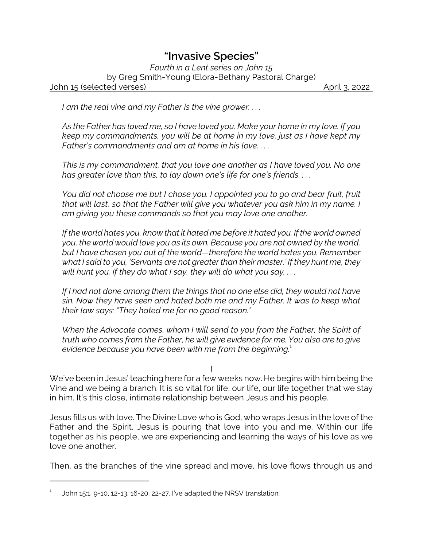## *"Invasive Species"*

*Fourth in a Lent series on John 15* by Greg Smith-Young (Elora-Bethany Pastoral Charge) John 15 (selected verses) April 3, 2022

*I am the real vine and my Father is the vine grower. . . .*

*As the Father has loved me, so I have loved you. Make your home in my love. If you keep my commandments, you will be at home in my love, just as I have kept my Father's commandments and am at home in his love. . . .*

*This is my commandment, that you love one another as I have loved you. No one has greater love than this, to lay down one's life for one's friends. . . .* 

*You did not choose me but I chose you. I appointed you to go and bear fruit, fruit that will last, so that the Father will give you whatever you ask him in my name. I am giving you these commands so that you may love one another.*

*If the world hates you, know that it hated me before it hated you. If the world owned you, the world would love you as its own. Because you are not owned by the world, but I have chosen you out of the world—therefore the world hates you. Remember what I said to you, 'Servants are not greater than their master.' If they hunt me, they will hunt you. If they do what I say, they will do what you say. . . .*

*If I had not done among them the things that no one else did, they would not have sin. Now they have seen and hated both me and my Father. It was to keep what their law says: "They hated me for no good reason."* 

*When the Advocate comes, whom I will send to you from the Father, the Spirit of truth who comes from the Father, he will give evidence for me. You also are to give evidence because you have been with me from the beginning.*<sup>1</sup>

I

We've been in Jesus' teaching here for a few weeks now. He begins with him being the Vine and we being a branch. It is so vital for life, our life, our life together that we stay in him. It's this close, intimate relationship between Jesus and his people.

Jesus fills us with love. The Divine Love who is God, who wraps Jesus in the love of the Father and the Spirit, Jesus is pouring that love into you and me. Within our life together as his people, we are experiencing and learning the ways of his love as we love one another.

Then, as the branches of the vine spread and move, his love flows through us and

<sup>1</sup> John 15:1, 9-10, 12-13, 16-20, 22-27. I've adapted the NRSV translation.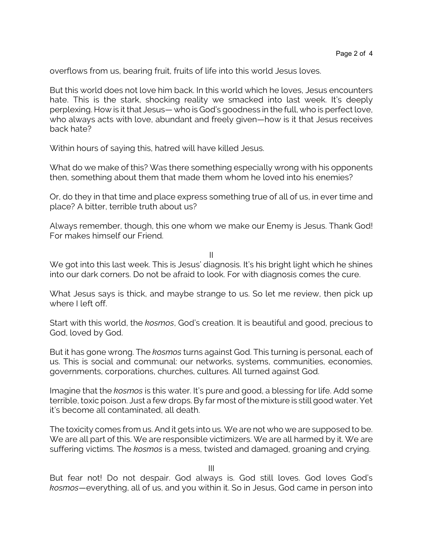overflows from us, bearing fruit, fruits of life into this world Jesus loves.

But this world does not love him back. In this world which he loves, Jesus encounters hate. This is the stark, shocking reality we smacked into last week. It's deeply perplexing. How is it that Jesus— who is God's goodness in the full, who is perfect love, who always acts with love, abundant and freely given—how is it that Jesus receives back hate?

Within hours of saying this, hatred will have killed Jesus.

What do we make of this? Was there something especially wrong with his opponents then, something about them that made them whom he loved into his enemies?

Or, do they in that time and place express something true of all of us, in ever time and place? A bitter, terrible truth about us?

Always remember, though, this one whom we make our Enemy is Jesus. Thank God! For makes himself our Friend.

II

We got into this last week. This is Jesus' diagnosis. It's his bright light which he shines into our dark corners. Do not be afraid to look. For with diagnosis comes the cure.

What Jesus says is thick, and maybe strange to us. So let me review, then pick up where I left off.

Start with this world, the *kosmos*, God's creation. It is beautiful and good, precious to God, loved by God.

But it has gone wrong. The *kosmos* turns against God. This turning is personal, each of us. This is social and communal: our networks, systems, communities, economies, governments, corporations, churches, cultures. All turned against God.

Imagine that the *kosmos* is this water. It's pure and good, a blessing for life. Add some terrible, toxic poison. Just a few drops. By far most ofthe mixture is still good water. Yet it's become all contaminated, all death.

The toxicity comes from us. And it gets into us. We are not who we are supposed to be. We are all part of this. We are responsible victimizers. We are all harmed by it. We are suffering victims. The *kosmos* is a mess, twisted and damaged, groaning and crying.

III

But fear not! Do not despair. God always is. God still loves. God loves God's *kosmos*—everything, all of us, and you within it. So in Jesus, God came in person into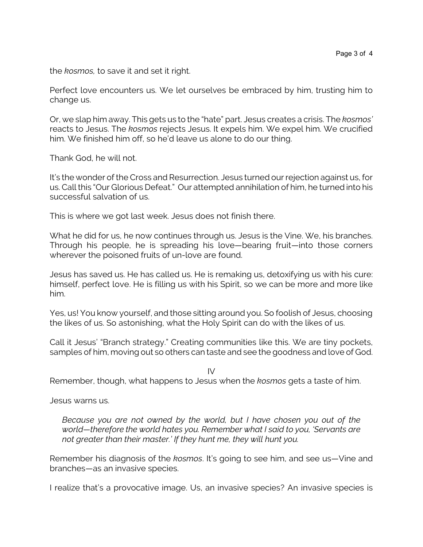the *kosmos,* to save it and set it right.

Perfect love encounters us. We let ourselves be embraced by him, trusting him to change us.

Or, we slap him away. This gets us to the "hate" part. Jesus creates a crisis. The *kosmos'* reacts to Jesus. The *kosmos* rejects Jesus. It expels him. We expel him. We crucified him. We finished him off, so he'd leave us alone to do our thing.

Thank God, he will not.

It's the wonder of the Cross and Resurrection. Jesus turned our rejection against us, for us. Call this "Our Glorious Defeat." Our attempted annihilation of him, he turned into his successful salvation of us.

This is where we got last week. Jesus does not finish there.

What he did for us, he now continues through us. Jesus is the Vine. We, his branches. Through his people, he is spreading his love—bearing fruit—into those corners wherever the poisoned fruits of un-love are found.

Jesus has saved us. He has called us. He is remaking us, detoxifying us with his cure: himself, perfect love. He is filling us with his Spirit, so we can be more and more like him.

Yes, us! You know yourself, and those sitting around you. So foolish of Jesus, choosing the likes of us. So astonishing, what the Holy Spirit can do with the likes of us.

Call it Jesus' "Branch strategy." Creating communities like this. We are tiny pockets, samples of him, moving out so others can taste and see the goodness and love of God.

IV

Remember, though, what happens to Jesus when the *kosmos* gets a taste of him.

Jesus warns us.

*Because you are not owned by the world, but I have chosen you out of the world—therefore the world hates you. Remember what I said to you, 'Servants are not greater than their master.' If they hunt me, they will hunt you.*

Remember his diagnosis of the *kosmos*. It's going to see him, and see us—Vine and branches—as an invasive species.

I realize that's a provocative image. Us, an invasive species? An invasive species is